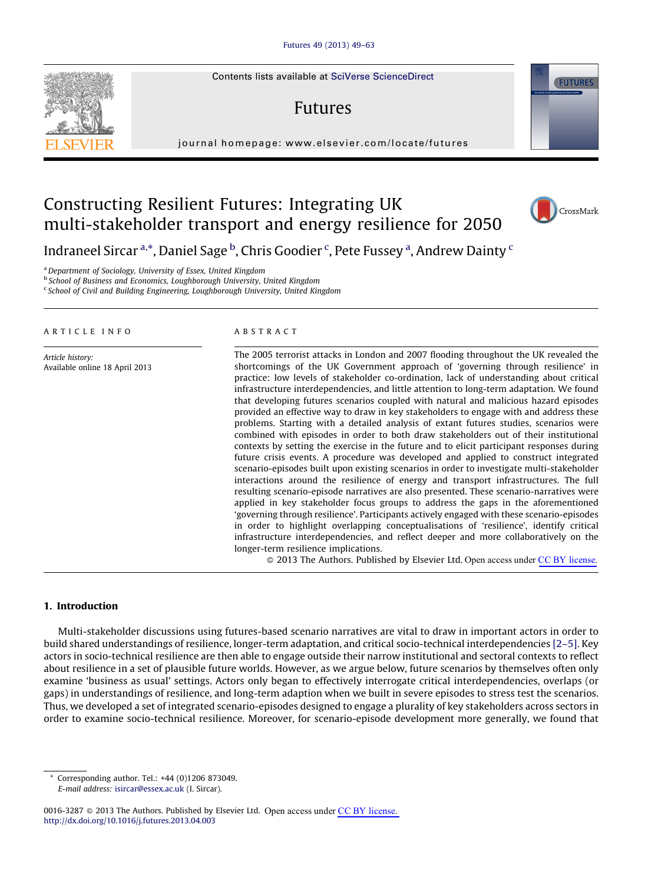Contents lists available at SciVerse [ScienceDirect](http://www.sciencedirect.com/science/journal/00163287)

# Futures

journal homepage: www.elsevier.com/locate/futures

# Constructing Resilient Futures: Integrating UK multi-stakeholder transport and energy resilience for 2050



**FUTURES** 

Indraneel Sircar <sup>a,</sup>\*, Daniel Sage <sup>b</sup>, Chris Goodier <sup>c</sup>, Pete Fussey <sup>a</sup>, Andrew Dainty <sup>c</sup>

<sup>a</sup> Department of Sociology, University of Essex, United Kingdom

**b School of Business and Economics, Loughborough University, United Kingdom** 

<sup>c</sup> School of Civil and Building Engineering, Loughborough University, United Kingdom

#### A R T I C I E I N E O

Article history: Available online 18 April 2013

# A B S T R A C T

The 2005 terrorist attacks in London and 2007 flooding throughout the UK revealed the shortcomings of the UK Government approach of 'governing through resilience' in practice: low levels of stakeholder co-ordination, lack of understanding about critical infrastructure interdependencies, and little attention to long-term adaptation. We found that developing futures scenarios coupled with natural and malicious hazard episodes provided an effective way to draw in key stakeholders to engage with and address these problems. Starting with a detailed analysis of extant futures studies, scenarios were combined with episodes in order to both draw stakeholders out of their institutional contexts by setting the exercise in the future and to elicit participant responses during future crisis events. A procedure was developed and applied to construct integrated scenario-episodes built upon existing scenarios in order to investigate multi-stakeholder interactions around the resilience of energy and transport infrastructures. The full resulting scenario-episode narratives are also presented. These scenario-narratives were applied in key stakeholder focus groups to address the gaps in the aforementioned 'governing through resilience'. Participants actively engaged with these scenario-episodes in order to highlight overlapping conceptualisations of 'resilience', identify critical infrastructure interdependencies, and reflect deeper and more collaboratively on the longer-term resilience implications.

 $\odot$  2013 The Authors. Published by Elsevier Ltd. Open access under CC BY [license.](http://creativecommons.org/licenses/by/3.0/)

## 1. Introduction

Multi-stakeholder discussions using futures-based scenario narratives are vital to draw in important actors in order to build shared understandings of resilience, longer-term adaptation, and critical socio-technical interdependencies [\[2–5\]](#page-13-0). Key actors in socio-technical resilience are then able to engage outside their narrow institutional and sectoral contexts to reflect about resilience in a set of plausible future worlds. However, as we argue below, future scenarios by themselves often only examine 'business as usual' settings. Actors only began to effectively interrogate critical interdependencies, overlaps (or gaps) in understandings of resilience, and long-term adaption when we built in severe episodes to stress test the scenarios. Thus, we developed a set of integrated scenario-episodes designed to engage a plurality of key stakeholders across sectors in order to examine socio-technical resilience. Moreover, for scenario-episode development more generally, we found that

Corresponding author. Tel.: +44 (0)1206 873049. E-mail address: [isircar@essex.ac.uk](mailto:isircar@essex.ac.uk) (I. Sircar).

0016-3287 © 2013 The Authors. Published by Elsevier Ltd.  $\,$  Open access under  $CC$   $BY$  [license.](http://creativecommons.org/licenses/by/3.0/) <http://dx.doi.org/10.1016/j.futures.2013.04.003>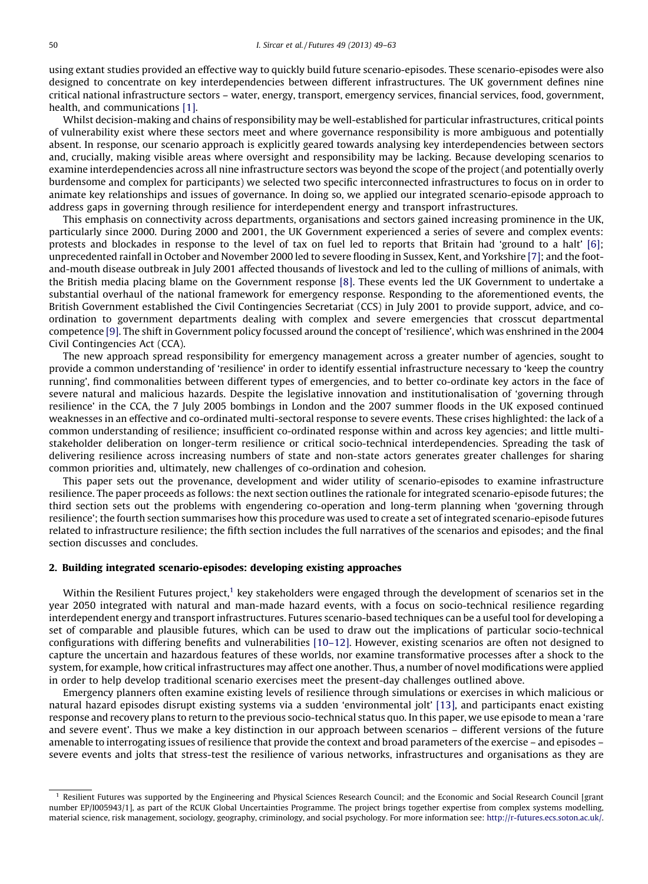using extant studies provided an effective way to quickly build future scenario-episodes. These scenario-episodes were also designed to concentrate on key interdependencies between different infrastructures. The UK government defines nine critical national infrastructure sectors – water, energy, transport, emergency services, financial services, food, government, health, and communications [\[1\]](#page-13-0).

Whilst decision-making and chains of responsibility may be well-established for particular infrastructures, critical points of vulnerability exist where these sectors meet and where governance responsibility is more ambiguous and potentially absent. In response, our scenario approach is explicitly geared towards analysing key interdependencies between sectors and, crucially, making visible areas where oversight and responsibility may be lacking. Because developing scenarios to examine interdependencies across all nine infrastructure sectors was beyond the scope of the project (and potentially overly burdensome and complex for participants) we selected two specific interconnected infrastructures to focus on in order to animate key relationships and issues of governance. In doing so, we applied our integrated scenario-episode approach to address gaps in governing through resilience for interdependent energy and transport infrastructures.

This emphasis on connectivity across departments, organisations and sectors gained increasing prominence in the UK, particularly since 2000. During 2000 and 2001, the UK Government experienced a series of severe and complex events: protests and blockades in response to the level of tax on fuel led to reports that Britain had 'ground to a halt' [\[6\]](#page-13-0); unprecedented rainfall in October and November 2000 led to severe flooding in Sussex, Kent, and Yorkshire [\[7\]](#page-13-0); and the footand-mouth disease outbreak in July 2001 affected thousands of livestock and led to the culling of millions of animals, with the British media placing blame on the Government response [\[8\]](#page-13-0). These events led the UK Government to undertake a substantial overhaul of the national framework for emergency response. Responding to the aforementioned events, the British Government established the Civil Contingencies Secretariat (CCS) in July 2001 to provide support, advice, and coordination to government departments dealing with complex and severe emergencies that crosscut departmental competence [\[9\].](#page-13-0) The shift in Government policy focussed around the concept of 'resilience', which was enshrined in the 2004 Civil Contingencies Act (CCA).

The new approach spread responsibility for emergency management across a greater number of agencies, sought to provide a common understanding of 'resilience' in order to identify essential infrastructure necessary to 'keep the country running', find commonalities between different types of emergencies, and to better co-ordinate key actors in the face of severe natural and malicious hazards. Despite the legislative innovation and institutionalisation of 'governing through resilience' in the CCA, the 7 July 2005 bombings in London and the 2007 summer floods in the UK exposed continued weaknesses in an effective and co-ordinated multi-sectoral response to severe events. These crises highlighted: the lack of a common understanding of resilience; insufficient co-ordinated response within and across key agencies; and little multistakeholder deliberation on longer-term resilience or critical socio-technical interdependencies. Spreading the task of delivering resilience across increasing numbers of state and non-state actors generates greater challenges for sharing common priorities and, ultimately, new challenges of co-ordination and cohesion.

This paper sets out the provenance, development and wider utility of scenario-episodes to examine infrastructure resilience. The paper proceeds as follows: the next section outlines the rationale for integrated scenario-episode futures; the third section sets out the problems with engendering co-operation and long-term planning when 'governing through resilience'; the fourth section summarises how this procedure was used to create a set of integrated scenario-episode futures related to infrastructure resilience; the fifth section includes the full narratives of the scenarios and episodes; and the final section discusses and concludes.

#### 2. Building integrated scenario-episodes: developing existing approaches

Within the Resilient Futures project,<sup>1</sup> key stakeholders were engaged through the development of scenarios set in the year 2050 integrated with natural and man-made hazard events, with a focus on socio-technical resilience regarding interdependent energy and transportinfrastructures. Futures scenario-based techniques can be a usefultool for developing a set of comparable and plausible futures, which can be used to draw out the implications of particular socio-technical configurations with differing benefits and vulnerabilities [\[10–12\].](#page-13-0) However, existing scenarios are often not designed to capture the uncertain and hazardous features of these worlds, nor examine transformative processes after a shock to the system, for example, how critical infrastructures may affect one another. Thus, a number of novel modifications were applied in order to help develop traditional scenario exercises meet the present-day challenges outlined above.

Emergency planners often examine existing levels of resilience through simulations or exercises in which malicious or natural hazard episodes disrupt existing systems via a sudden 'environmental jolt' [\[13\]](#page-13-0), and participants enact existing response and recovery plans to return to the previous socio-technical status quo. In this paper, we use episode to mean a 'rare and severe event'. Thus we make a key distinction in our approach between scenarios – different versions of the future amenable to interrogating issues of resilience that provide the context and broad parameters of the exercise – and episodes – severe events and jolts that stress-test the resilience of various networks, infrastructures and organisations as they are

Resilient Futures was supported by the Engineering and Physical Sciences Research Council; and the Economic and Social Research Council [grant number EP/I005943/1], as part of the RCUK Global Uncertainties Programme. The project brings together expertise from complex systems modelling, material science, risk management, sociology, geography, criminology, and social psychology. For more information see: [http://r-futures.ecs.soton.ac.uk/.](http://r-futures.ecs.soton.ac.uk/)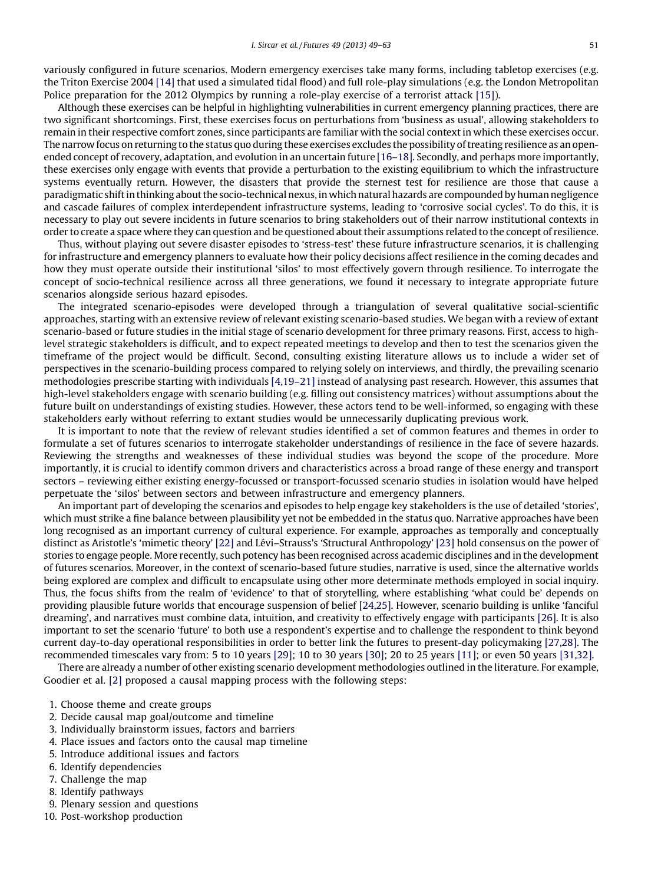variously configured in future scenarios. Modern emergency exercises take many forms, including tabletop exercises (e.g. the Triton Exercise 2004 [\[14\]](#page-13-0) that used a simulated tidal flood) and full role-play simulations (e.g. the London Metropolitan Police preparation for the 2012 Olympics by running a role-play exercise of a terrorist attack [\[15\]\)](#page-14-0).

Although these exercises can be helpful in highlighting vulnerabilities in current emergency planning practices, there are two significant shortcomings. First, these exercises focus on perturbations from 'business as usual', allowing stakeholders to remain in their respective comfort zones, since participants are familiar with the social contextin which these exercises occur. The narrow focus on returning to the status quo during these exercises excludes the possibility of treating resilience as an openended concept of recovery, adaptation, and evolution in an uncertain future [\[16–18\].](#page-14-0) Secondly, and perhaps more importantly, these exercises only engage with events that provide a perturbation to the existing equilibrium to which the infrastructure systems eventually return. However, the disasters that provide the sternest test for resilience are those that cause a paradigmatic shiftinthinking aboutthe socio-technicalnexus, in which naturalhazards are compounded byhumannegligence and cascade failures of complex interdependent infrastructure systems, leading to 'corrosive social cycles'. To do this, it is necessary to play out severe incidents in future scenarios to bring stakeholders out of their narrow institutional contexts in order to create a space where they can question and be questioned abouttheir assumptions related to the concept of resilience.

Thus, without playing out severe disaster episodes to 'stress-test' these future infrastructure scenarios, it is challenging for infrastructure and emergency planners to evaluate how their policy decisions affect resilience in the coming decades and how they must operate outside their institutional 'silos' to most effectively govern through resilience. To interrogate the concept of socio-technical resilience across all three generations, we found it necessary to integrate appropriate future scenarios alongside serious hazard episodes.

The integrated scenario-episodes were developed through a triangulation of several qualitative social-scientific approaches, starting with an extensive review of relevant existing scenario-based studies. We began with a review of extant scenario-based or future studies in the initial stage of scenario development for three primary reasons. First, access to highlevel strategic stakeholders is difficult, and to expect repeated meetings to develop and then to test the scenarios given the timeframe of the project would be difficult. Second, consulting existing literature allows us to include a wider set of perspectives in the scenario-building process compared to relying solely on interviews, and thirdly, the prevailing scenario methodologies prescribe starting with individuals [\[4,19–21\]](#page-13-0) instead of analysing past research. However, this assumes that high-level stakeholders engage with scenario building (e.g. filling out consistency matrices) without assumptions about the future built on understandings of existing studies. However, these actors tend to be well-informed, so engaging with these stakeholders early without referring to extant studies would be unnecessarily duplicating previous work.

It is important to note that the review of relevant studies identified a set of common features and themes in order to formulate a set of futures scenarios to interrogate stakeholder understandings of resilience in the face of severe hazards. Reviewing the strengths and weaknesses of these individual studies was beyond the scope of the procedure. More importantly, it is crucial to identify common drivers and characteristics across a broad range of these energy and transport sectors – reviewing either existing energy-focussed or transport-focussed scenario studies in isolation would have helped perpetuate the 'silos' between sectors and between infrastructure and emergency planners.

An important part of developing the scenarios and episodes to help engage key stakeholders is the use of detailed 'stories', which must strike a fine balance between plausibility yet not be embedded in the status quo. Narrative approaches have been long recognised as an important currency of cultural experience. For example, approaches as temporally and conceptually distinct as Aristotle's 'mimetic theory' [\[22\]](#page-14-0) and Lévi–Strauss's 'Structural Anthropology' [\[23\]](#page-14-0) hold consensus on the power of stories to engage people. More recently, such potency has been recognised across academic disciplines and in the development of futures scenarios. Moreover, in the context of scenario-based future studies, narrative is used, since the alternative worlds being explored are complex and difficult to encapsulate using other more determinate methods employed in social inquiry. Thus, the focus shifts from the realm of 'evidence' to that of storytelling, where establishing 'what could be' depends on providing plausible future worlds that encourage suspension of belief [\[24,25\].](#page-14-0) However, scenario building is unlike 'fanciful dreaming', and narratives must combine data, intuition, and creativity to effectively engage with participants [\[26\]](#page-14-0). It is also important to set the scenario 'future' to both use a respondent's expertise and to challenge the respondent to think beyond current day-to-day operational responsibilities in order to better link the futures to present-day policymaking [\[27,28\].](#page-14-0) The recommended timescales vary from: 5 to 10 years [\[29\];](#page-14-0) 10 to 30 years [\[30\];](#page-14-0) 20 to 25 years [\[11\]](#page-13-0); or even 50 years [\[31,32\]](#page-14-0).

There are already a number of other existing scenario development methodologies outlined in the literature. For example, Goodier et al. [\[2\]](#page-13-0) proposed a causal mapping process with the following steps:

- 1. Choose theme and create groups
- 2. Decide causal map goal/outcome and timeline
- 3. Individually brainstorm issues, factors and barriers
- 4. Place issues and factors onto the causal map timeline
- 5. Introduce additional issues and factors
- 6. Identify dependencies
- 7. Challenge the map
- 8. Identify pathways
- 9. Plenary session and questions
- 10. Post-workshop production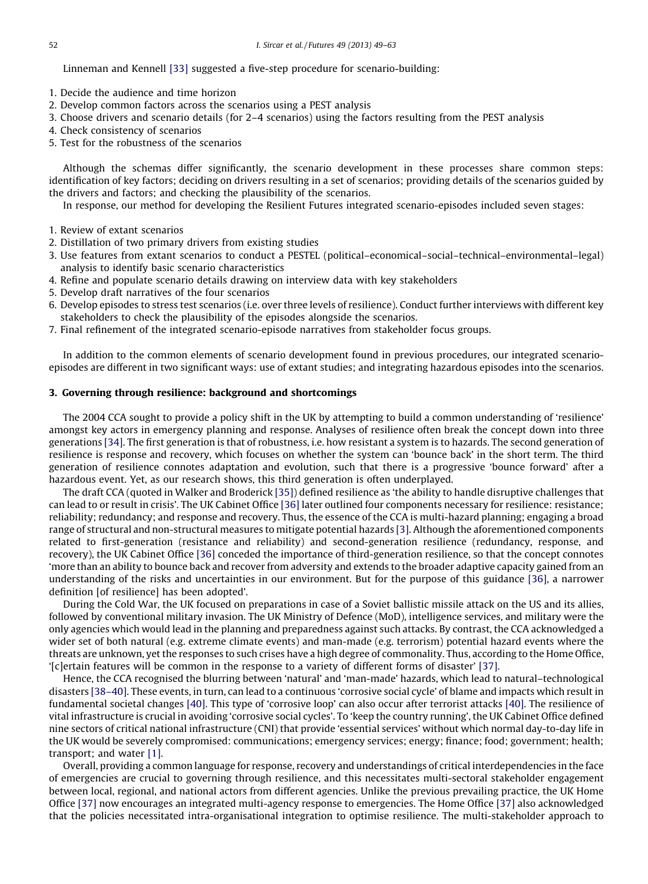Linneman and Kennell [\[33\]](#page-14-0) suggested a five-step procedure for scenario-building:

- 1. Decide the audience and time horizon
- 2. Develop common factors across the scenarios using a PEST analysis
- 3. Choose drivers and scenario details (for 2–4 scenarios) using the factors resulting from the PEST analysis
- 4. Check consistency of scenarios
- 5. Test for the robustness of the scenarios

Although the schemas differ significantly, the scenario development in these processes share common steps: identification of key factors; deciding on drivers resulting in a set of scenarios; providing details of the scenarios guided by the drivers and factors; and checking the plausibility of the scenarios.

In response, our method for developing the Resilient Futures integrated scenario-episodes included seven stages:

- 1. Review of extant scenarios
- 2. Distillation of two primary drivers from existing studies
- 3. Use features from extant scenarios to conduct a PESTEL (political–economical–social–technical–environmental–legal) analysis to identify basic scenario characteristics
- 4. Refine and populate scenario details drawing on interview data with key stakeholders
- 5. Develop draft narratives of the four scenarios
- 6. Develop episodes to stress test scenarios (i.e. over three levels of resilience). Conduct further interviews with different key stakeholders to check the plausibility of the episodes alongside the scenarios.
- 7. Final refinement of the integrated scenario-episode narratives from stakeholder focus groups.

In addition to the common elements of scenario development found in previous procedures, our integrated scenarioepisodes are different in two significant ways: use of extant studies; and integrating hazardous episodes into the scenarios.

## 3. Governing through resilience: background and shortcomings

The 2004 CCA sought to provide a policy shift in the UK by attempting to build a common understanding of 'resilience' amongst key actors in emergency planning and response. Analyses of resilience often break the concept down into three generations [\[34\]](#page-14-0). The first generation is that of robustness, i.e. how resistant a system is to hazards. The second generation of resilience is response and recovery, which focuses on whether the system can 'bounce back' in the short term. The third generation of resilience connotes adaptation and evolution, such that there is a progressive 'bounce forward' after a hazardous event. Yet, as our research shows, this third generation is often underplayed.

The draft CCA (quoted in Walker and Broderick [\[35\]\)](#page-14-0) defined resilience as 'the ability to handle disruptive challenges that can lead to or result in crisis'. The UK Cabinet Office [\[36\]](#page-14-0) later outlined four components necessary for resilience: resistance; reliability; redundancy; and response and recovery. Thus, the essence of the CCA is multi-hazard planning; engaging a broad range of structural and non-structural measures to mitigate potential hazards [\[3\].](#page-13-0) Although the aforementioned components related to first-generation (resistance and reliability) and second-generation resilience (redundancy, response, and recovery), the UK Cabinet Office [\[36\]](#page-14-0) conceded the importance of third-generation resilience, so that the concept connotes 'more than an ability to bounce back and recover from adversity and extends to the broader adaptive capacity gained from an understanding of the risks and uncertainties in our environment. But for the purpose of this guidance [\[36\]](#page-14-0), a narrower definition [of resilience] has been adopted'.

During the Cold War, the UK focused on preparations in case of a Soviet ballistic missile attack on the US and its allies, followed by conventional military invasion. The UK Ministry of Defence (MoD), intelligence services, and military were the only agencies which would lead in the planning and preparedness against such attacks. By contrast, the CCA acknowledged a wider set of both natural (e.g. extreme climate events) and man-made (e.g. terrorism) potential hazard events where the threats are unknown, yetthe responses to such crises have a high degree of commonality. Thus, according to the Home Office, '[c]ertain features will be common in the response to a variety of different forms of disaster' [\[37\]](#page-14-0).

Hence, the CCA recognised the blurring between 'natural' and 'man-made' hazards, which lead to natural–technological disasters [\[38–40\].](#page-14-0) These events, in turn, can lead to a continuous 'corrosive social cycle' of blame and impacts which result in fundamental societal changes [\[40\].](#page-14-0) This type of 'corrosive loop' can also occur after terrorist attacks [\[40\]](#page-14-0). The resilience of vital infrastructure is crucial in avoiding 'corrosive social cycles'. To 'keep the country running', the UK Cabinet Office defined nine sectors of critical national infrastructure (CNI) that provide 'essential services' without which normal day-to-day life in the UK would be severely compromised: communications; emergency services; energy; finance; food; government; health; transport; and water [\[1\]](#page-13-0).

Overall, providing a common language for response, recovery and understandings of critical interdependencies in the face of emergencies are crucial to governing through resilience, and this necessitates multi-sectoral stakeholder engagement between local, regional, and national actors from different agencies. Unlike the previous prevailing practice, the UK Home Office [\[37\]](#page-14-0) now encourages an integrated multi-agency response to emergencies. The Home Office [\[37\]](#page-14-0) also acknowledged that the policies necessitated intra-organisational integration to optimise resilience. The multi-stakeholder approach to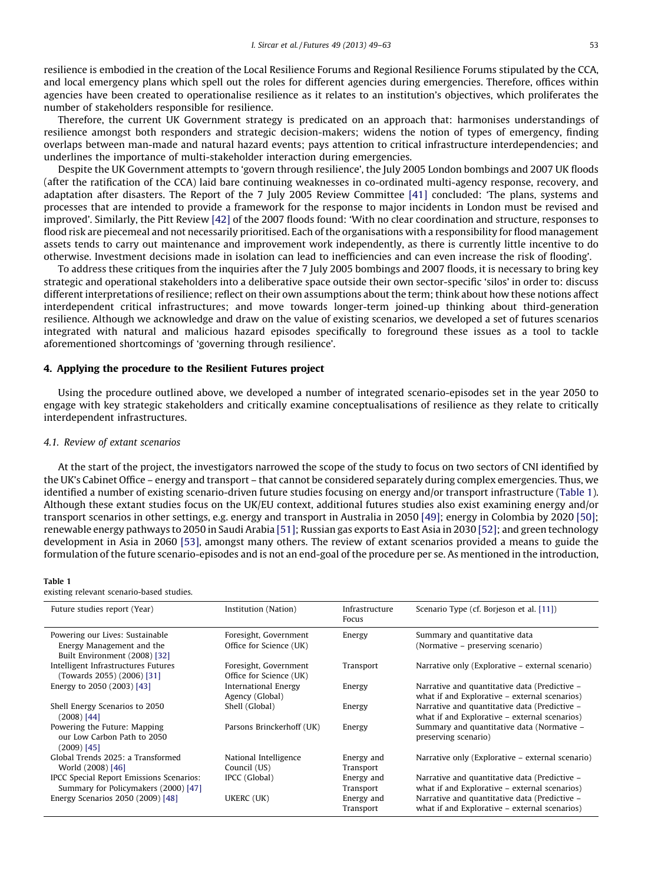resilience is embodied in the creation of the Local Resilience Forums and Regional Resilience Forums stipulated by the CCA, and local emergency plans which spell out the roles for different agencies during emergencies. Therefore, offices within agencies have been created to operationalise resilience as it relates to an institution's objectives, which proliferates the number of stakeholders responsible for resilience.

Therefore, the current UK Government strategy is predicated on an approach that: harmonises understandings of resilience amongst both responders and strategic decision-makers; widens the notion of types of emergency, finding overlaps between man-made and natural hazard events; pays attention to critical infrastructure interdependencies; and underlines the importance of multi-stakeholder interaction during emergencies.

Despite the UK Government attempts to 'govern through resilience', the July 2005 London bombings and 2007 UK floods (after the ratification of the CCA) laid bare continuing weaknesses in co-ordinated multi-agency response, recovery, and adaptation after disasters. The Report of the 7 July 2005 Review Committee [\[41\]](#page-14-0) concluded: 'The plans, systems and processes that are intended to provide a framework for the response to major incidents in London must be revised and improved'. Similarly, the Pitt Review [\[42\]](#page-14-0) of the 2007 floods found: 'With no clear coordination and structure, responses to flood risk are piecemeal and not necessarily prioritised. Each of the organisations with a responsibility for flood management assets tends to carry out maintenance and improvement work independently, as there is currently little incentive to do otherwise. Investment decisions made in isolation can lead to inefficiencies and can even increase the risk of flooding'.

To address these critiques from the inquiries after the 7 July 2005 bombings and 2007 floods, it is necessary to bring key strategic and operational stakeholders into a deliberative space outside their own sector-specific 'silos' in order to: discuss different interpretations of resilience; reflect on their own assumptions about the term; think about how these notions affect interdependent critical infrastructures; and move towards longer-term joined-up thinking about third-generation resilience. Although we acknowledge and draw on the value of existing scenarios, we developed a set of futures scenarios integrated with natural and malicious hazard episodes specifically to foreground these issues as a tool to tackle aforementioned shortcomings of 'governing through resilience'.

## 4. Applying the procedure to the Resilient Futures project

Using the procedure outlined above, we developed a number of integrated scenario-episodes set in the year 2050 to engage with key strategic stakeholders and critically examine conceptualisations of resilience as they relate to critically interdependent infrastructures.

#### 4.1. Review of extant scenarios

At the start of the project, the investigators narrowed the scope of the study to focus on two sectors of CNI identified by the UK's Cabinet Office – energy and transport – that cannot be considered separately during complex emergencies. Thus, we identified a number of existing scenario-driven future studies focusing on energy and/or transport infrastructure (Table 1). Although these extant studies focus on the UK/EU context, additional futures studies also exist examining energy and/or transport scenarios in other settings, e.g. energy and transport in Australia in 2050 [\[49\];](#page-14-0) energy in Colombia by 2020 [\[50\]](#page-14-0); renewable energy pathways to 2050 in Saudi Arabia [\[51\]](#page-14-0); Russian gas exports to East Asia in 2030 [\[52\];](#page-14-0) and green technology development in Asia in 2060 [\[53\]](#page-14-0), amongst many others. The review of extant scenarios provided a means to guide the formulation of the future scenario-episodes and is not an end-goal of the procedure per se. As mentioned in the introduction,

| Table 1                                   |  |
|-------------------------------------------|--|
| existing relevant scenario-based studies. |  |

| Future studies report (Year)                                                 | Institution (Nation)                           | Infrastructure<br>Focus | Scenario Type (cf. Borjeson et al. [11])                                                       |
|------------------------------------------------------------------------------|------------------------------------------------|-------------------------|------------------------------------------------------------------------------------------------|
| Powering our Lives: Sustainable                                              | Foresight, Government                          | Energy                  | Summary and quantitative data                                                                  |
| Energy Management and the<br>Built Environment (2008) [32]                   | Office for Science (UK)                        |                         | (Normative - preserving scenario)                                                              |
| Intelligent Infrastructures Futures                                          | Foresight, Government                          | Transport               | Narrative only (Explorative – external scenario)                                               |
| (Towards 2055) (2006) [31]                                                   | Office for Science (UK)                        |                         |                                                                                                |
| Energy to 2050 (2003) [43]                                                   | <b>International Energy</b><br>Agency (Global) | Energy                  | Narrative and quantitative data (Predictive –<br>what if and Explorative – external scenarios) |
| Shell Energy Scenarios to 2050<br>$(2008)$ [44]                              | Shell (Global)                                 | Energy                  | Narrative and quantitative data (Predictive -<br>what if and Explorative – external scenarios) |
| Powering the Future: Mapping<br>our Low Carbon Path to 2050<br>$(2009)$ [45] | Parsons Brinckerhoff (UK)                      | Energy                  | Summary and quantitative data (Normative -<br>preserving scenario)                             |
| Global Trends 2025: a Transformed                                            | National Intelligence                          | Energy and              | Narrative only (Explorative – external scenario)                                               |
| World (2008) [46]                                                            | Council (US)                                   | Transport               |                                                                                                |
| IPCC Special Report Emissions Scenarios:                                     | IPCC (Global)                                  | Energy and              | Narrative and quantitative data (Predictive –                                                  |
| Summary for Policymakers (2000) [47]                                         |                                                | Transport               | what if and Explorative – external scenarios)                                                  |
| Energy Scenarios 2050 (2009) [48]                                            | UKERC (UK)                                     | Energy and<br>Transport | Narrative and quantitative data (Predictive -<br>what if and Explorative - external scenarios) |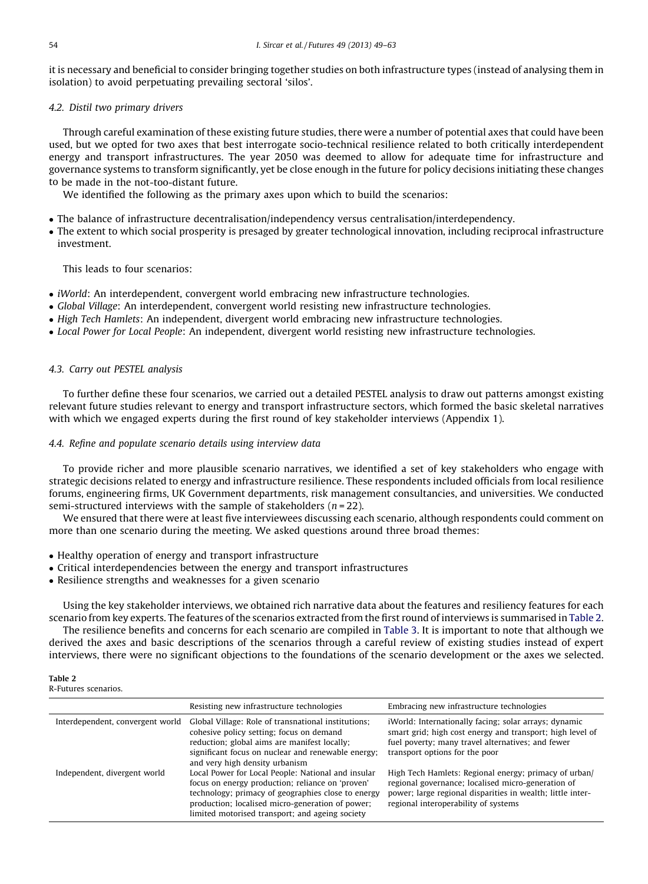it is necessary and beneficial to consider bringing together studies on both infrastructure types (instead of analysing them in isolation) to avoid perpetuating prevailing sectoral 'silos'.

## 4.2. Distil two primary drivers

Through careful examination of these existing future studies, there were a number of potential axes that could have been used, but we opted for two axes that best interrogate socio-technical resilience related to both critically interdependent energy and transport infrastructures. The year 2050 was deemed to allow for adequate time for infrastructure and governance systems to transform significantly, yet be close enough in the future for policy decisions initiating these changes to be made in the not-too-distant future.

We identified the following as the primary axes upon which to build the scenarios:

- The balance of infrastructure decentralisation/independency versus centralisation/interdependency.
- The extent to which social prosperity is presaged by greater technological innovation, including reciprocal infrastructure investment.

This leads to four scenarios:

- iWorld: An interdependent, convergent world embracing new infrastructure technologies.
- Global Village: An interdependent, convergent world resisting new infrastructure technologies.
- High Tech Hamlets: An independent, divergent world embracing new infrastructure technologies.
- Local Power for Local People: An independent, divergent world resisting new infrastructure technologies.

# 4.3. Carry out PESTEL analysis

To further define these four scenarios, we carried out a detailed PESTEL analysis to draw out patterns amongst existing relevant future studies relevant to energy and transport infrastructure sectors, which formed the basic skeletal narratives with which we engaged experts during the first round of key stakeholder interviews (Appendix 1).

## 4.4. Refine and populate scenario details using interview data

To provide richer and more plausible scenario narratives, we identified a set of key stakeholders who engage with strategic decisions related to energy and infrastructure resilience. These respondents included officials from local resilience forums, engineering firms, UK Government departments, risk management consultancies, and universities. We conducted semi-structured interviews with the sample of stakeholders ( $n = 22$ ).

We ensured that there were at least five interviewees discussing each scenario, although respondents could comment on more than one scenario during the meeting. We asked questions around three broad themes:

- Healthy operation of energy and transport infrastructure
- Critical interdependencies between the energy and transport infrastructures
- Resilience strengths and weaknesses for a given scenario

Using the key stakeholder interviews, we obtained rich narrative data about the features and resiliency features for each scenario from key experts. The features ofthe scenarios extracted from the first round of interviews is summarised in Table 2.

The resilience benefits and concerns for each scenario are compiled in [Table](#page-6-0) 3. It is important to note that although we derived the axes and basic descriptions of the scenarios through a careful review of existing studies instead of expert interviews, there were no significant objections to the foundations of the scenario development or the axes we selected.

#### Table 2 R-Futures scenarios.

|                                  | Resisting new infrastructure technologies                                                                                                                                                                                                                           | Embracing new infrastructure technologies                                                                                                                                                                         |
|----------------------------------|---------------------------------------------------------------------------------------------------------------------------------------------------------------------------------------------------------------------------------------------------------------------|-------------------------------------------------------------------------------------------------------------------------------------------------------------------------------------------------------------------|
| Interdependent, convergent world | Global Village: Role of transnational institutions;<br>cohesive policy setting; focus on demand<br>reduction; global aims are manifest locally;<br>significant focus on nuclear and renewable energy;<br>and very high density urbanism                             | iWorld: Internationally facing; solar arrays; dynamic<br>smart grid; high cost energy and transport; high level of<br>fuel poverty; many travel alternatives; and fewer<br>transport options for the poor         |
| Independent, divergent world     | Local Power for Local People: National and insular<br>focus on energy production; reliance on 'proven'<br>technology; primacy of geographies close to energy<br>production; localised micro-generation of power;<br>limited motorised transport; and ageing society | High Tech Hamlets: Regional energy; primacy of urban/<br>regional governance; localised micro-generation of<br>power; large regional disparities in wealth; little inter-<br>regional interoperability of systems |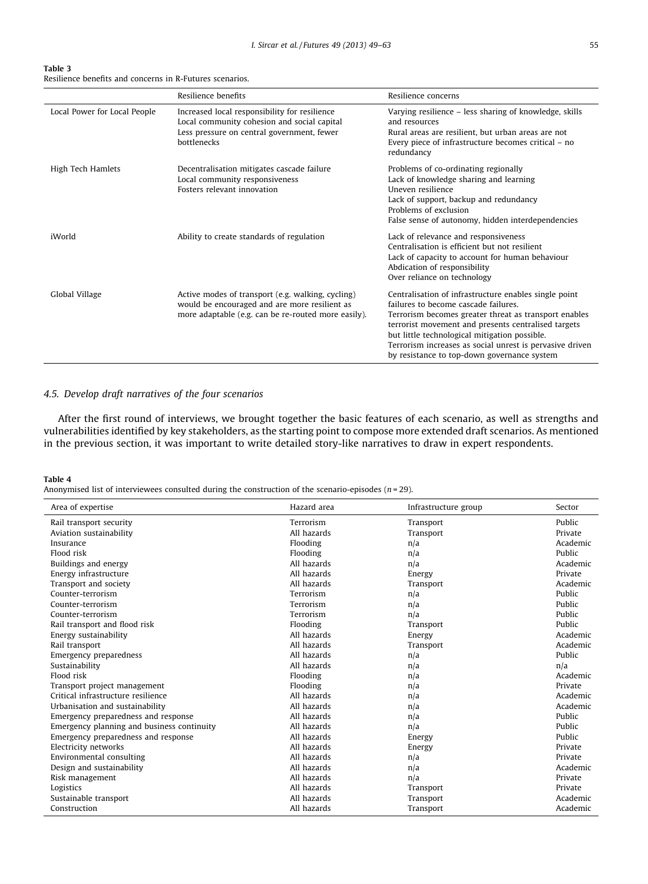#### <span id="page-6-0"></span>Table 3 Resilience benefits and concerns in R-Futures scenarios.

|                              | Resilience benefits                                                                                                                                       | Resilience concerns                                                                                                                                                                                                                                                                                                                                                       |
|------------------------------|-----------------------------------------------------------------------------------------------------------------------------------------------------------|---------------------------------------------------------------------------------------------------------------------------------------------------------------------------------------------------------------------------------------------------------------------------------------------------------------------------------------------------------------------------|
| Local Power for Local People | Increased local responsibility for resilience<br>Local community cohesion and social capital<br>Less pressure on central government, fewer<br>bottlenecks | Varying resilience – less sharing of knowledge, skills<br>and resources<br>Rural areas are resilient, but urban areas are not<br>Every piece of infrastructure becomes critical - no<br>redundancy                                                                                                                                                                        |
| High Tech Hamlets            | Decentralisation mitigates cascade failure<br>Local community responsiveness<br>Fosters relevant innovation                                               | Problems of co-ordinating regionally<br>Lack of knowledge sharing and learning<br>Uneven resilience<br>Lack of support, backup and redundancy<br>Problems of exclusion<br>False sense of autonomy, hidden interdependencies                                                                                                                                               |
| iWorld                       | Ability to create standards of regulation                                                                                                                 | Lack of relevance and responsiveness<br>Centralisation is efficient but not resilient<br>Lack of capacity to account for human behaviour<br>Abdication of responsibility<br>Over reliance on technology                                                                                                                                                                   |
| Global Village               | Active modes of transport (e.g. walking, cycling)<br>would be encouraged and are more resilient as<br>more adaptable (e.g. can be re-routed more easily). | Centralisation of infrastructure enables single point<br>failures to become cascade failures.<br>Terrorism becomes greater threat as transport enables<br>terrorist movement and presents centralised targets<br>but little technological mitigation possible.<br>Terrorism increases as social unrest is pervasive driven<br>by resistance to top-down governance system |

# 4.5. Develop draft narratives of the four scenarios

After the first round of interviews, we brought together the basic features of each scenario, as well as strengths and vulnerabilities identified by key stakeholders, as the starting point to compose more extended draft scenarios. As mentioned in the previous section, it was important to write detailed story-like narratives to draw in expert respondents.

#### Table 4

Anonymised list of interviewees consulted during the construction of the scenario-episodes ( $n = 29$ ).

| Area of expertise                          | Hazard area | Infrastructure group | Sector   |
|--------------------------------------------|-------------|----------------------|----------|
| Rail transport security                    | Terrorism   | Transport            | Public   |
| Aviation sustainability                    | All hazards | Transport            | Private  |
| Insurance                                  | Flooding    | n/a                  | Academic |
| Flood risk                                 | Flooding    | n/a                  | Public   |
| Buildings and energy                       | All hazards | n/a                  | Academic |
| Energy infrastructure                      | All hazards | Energy               | Private  |
| Transport and society                      | All hazards | Transport            | Academic |
| Counter-terrorism                          | Terrorism   | n/a                  | Public   |
| Counter-terrorism                          | Terrorism   | n/a                  | Public   |
| Counter-terrorism                          | Terrorism   | n/a                  | Public   |
| Rail transport and flood risk              | Flooding    | Transport            | Public   |
| Energy sustainability                      | All hazards | Energy               | Academic |
| Rail transport                             | All hazards | Transport            | Academic |
| Emergency preparedness                     | All hazards | n/a                  | Public   |
| Sustainability                             | All hazards | n/a                  | n/a      |
| Flood risk                                 | Flooding    | n/a                  | Academic |
| Transport project management               | Flooding    | n/a                  | Private  |
| Critical infrastructure resilience         | All hazards | n/a                  | Academic |
| Urbanisation and sustainability            | All hazards | n/a                  | Academic |
| Emergency preparedness and response        | All hazards | n/a                  | Public   |
| Emergency planning and business continuity | All hazards | n/a                  | Public   |
| Emergency preparedness and response        | All hazards | Energy               | Public   |
| Electricity networks                       | All hazards | Energy               | Private  |
| Environmental consulting                   | All hazards | n/a                  | Private  |
| Design and sustainability                  | All hazards | n/a                  | Academic |
| Risk management                            | All hazards | n/a                  | Private  |
| Logistics                                  | All hazards | Transport            | Private  |
| Sustainable transport                      | All hazards | Transport            | Academic |
| Construction                               | All hazards | Transport            | Academic |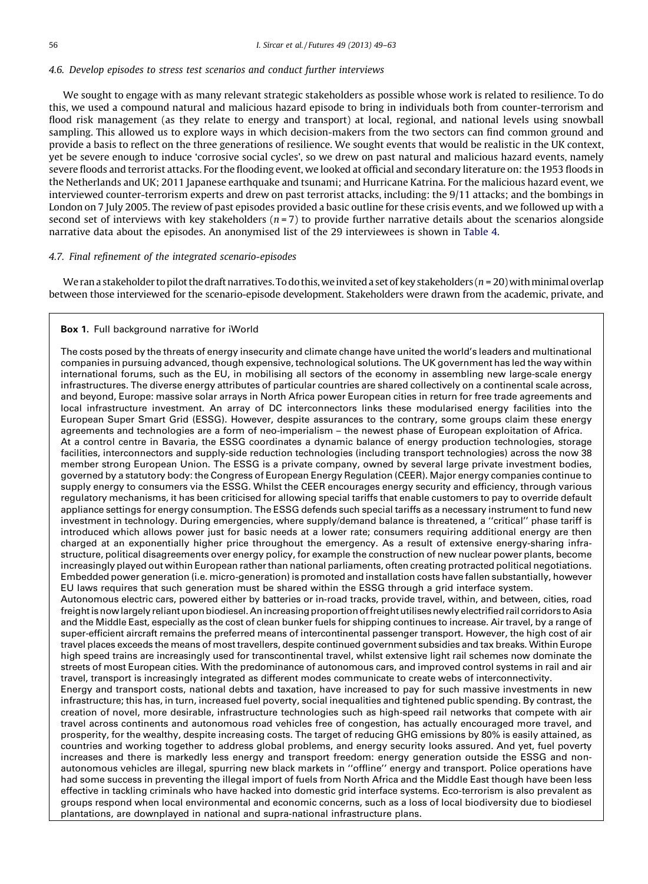#### <span id="page-7-0"></span>4.6. Develop episodes to stress test scenarios and conduct further interviews

We sought to engage with as many relevant strategic stakeholders as possible whose work is related to resilience. To do this, we used a compound natural and malicious hazard episode to bring in individuals both from counter-terrorism and flood risk management (as they relate to energy and transport) at local, regional, and national levels using snowball sampling. This allowed us to explore ways in which decision-makers from the two sectors can find common ground and provide a basis to reflect on the three generations of resilience. We sought events that would be realistic in the UK context, yet be severe enough to induce 'corrosive social cycles', so we drew on past natural and malicious hazard events, namely severe floods and terrorist attacks. For the flooding event, we looked at official and secondary literature on:the 1953 floods in the Netherlands and UK; 2011 Japanese earthquake and tsunami; and Hurricane Katrina. For the malicious hazard event, we interviewed counter-terrorism experts and drew on past terrorist attacks, including: the 9/11 attacks; and the bombings in London on 7 July 2005. The review of past episodes provided a basic outline for these crisis events, and we followed up with a second set of interviews with key stakeholders ( $n = 7$ ) to provide further narrative details about the scenarios alongside narrative data about the episodes. An anonymised list of the 29 interviewees is shown in [Table](#page-6-0) 4.

## 4.7. Final refinement of the integrated scenario-episodes

We ran a stakeholder to pilot the draft narratives. To do this, we invited a set of key stakeholders ( $n = 20$ ) with minimal overlap between those interviewed for the scenario-episode development. Stakeholders were drawn from the academic, private, and

#### Box 1. Full background narrative for iWorld

The costs posed by the threats of energy insecurity and climate change have united the world's leaders and multinational companies in pursuing advanced, though expensive, technological solutions. The UK government has led the way within international forums, such as the EU, in mobilising all sectors of the economy in assembling new large-scale energy infrastructures. The diverse energy attributes of particular countries are shared collectively on a continental scale across, and beyond, Europe: massive solar arrays in North Africa power European cities in return for free trade agreements and local infrastructure investment. An array of DC interconnectors links these modularised energy facilities into the European Super Smart Grid (ESSG). However, despite assurances to the contrary, some groups claim these energy agreements and technologies are a form of neo-imperialism – the newest phase of European exploitation of Africa. At a control centre in Bavaria, the ESSG coordinates a dynamic balance of energy production technologies, storage facilities, interconnectors and supply-side reduction technologies (including transport technologies) across the now 38 member strong European Union. The ESSG is a private company, owned by several large private investment bodies, governed by a statutory body: the Congress of European Energy Regulation (CEER). Major energy companies continue to supply energy to consumers via the ESSG. Whilst the CEER encourages energy security and efficiency, through various regulatory mechanisms, it has been criticised for allowing special tariffs that enable customers to pay to override default appliance settings for energy consumption. The ESSG defends such special tariffs as a necessary instrument to fund new investment in technology. During emergencies, where supply/demand balance is threatened, a ''critical'' phase tariff is introduced which allows power just for basic needs at a lower rate; consumers requiring additional energy are then charged at an exponentially higher price throughout the emergency. As a result of extensive energy-sharing infrastructure, political disagreements over energy policy, for example the construction of new nuclear power plants, become increasingly played out within European ratherthan national parliaments, often creating protracted political negotiations. Embedded power generation (i.e. micro-generation) is promoted and installation costs have fallen substantially, however EU laws requires that such generation must be shared within the ESSG through a grid interface system. Autonomous electric cars, powered either by batteries or in-road tracks, provide travel, within, and between, cities, road freight is now largely reliant upon biodiesel. An increasing proportion of freight utilises newly electrified rail corridors to Asia and the Middle East, especially as the cost of clean bunker fuels for shipping continues to increase. Air travel, by a range of super-efficient aircraft remains the preferred means of intercontinental passenger transport. However, the high cost of air travel places exceeds the means of most travellers, despite continued government subsidies and tax breaks. Within Europe high speed trains are increasingly used for transcontinental travel, whilst extensive light rail schemes now dominate the streets of most European cities. With the predominance of autonomous cars, and improved control systems in rail and air travel, transport is increasingly integrated as different modes communicate to create webs of interconnectivity. Energy and transport costs, national debts and taxation, have increased to pay for such massive investments in new infrastructure; this has, in turn, increased fuel poverty, social inequalities and tightened public spending. By contrast, the creation of novel, more desirable, infrastructure technologies such as high-speed rail networks that compete with air travel across continents and autonomous road vehicles free of congestion, has actually encouraged more travel, and prosperity, for the wealthy, despite increasing costs. The target of reducing GHG emissions by 80% is easily attained, as countries and working together to address global problems, and energy security looks assured. And yet, fuel poverty increases and there is markedly less energy and transport freedom: energy generation outside the ESSG and nonautonomous vehicles are illegal, spurring new black markets in ''offline'' energy and transport. Police operations have had some success in preventing the illegal import of fuels from North Africa and the Middle East though have been less effective in tackling criminals who have hacked into domestic grid interface systems. Eco-terrorism is also prevalent as groups respond when local environmental and economic concerns, such as a loss of local biodiversity due to biodiesel plantations, are downplayed in national and supra-national infrastructure plans.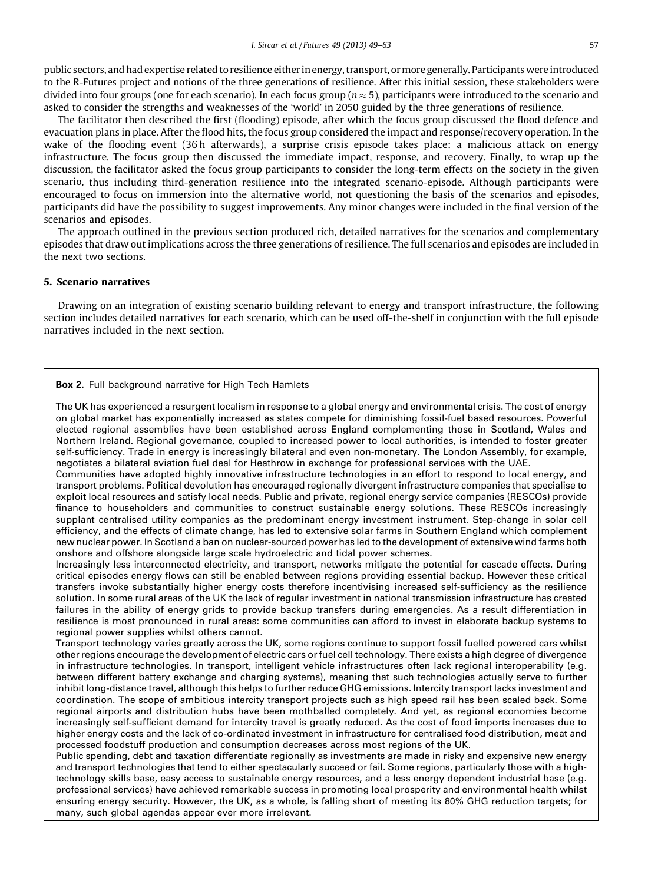<span id="page-8-0"></span>public sectors, and had expertise related to resilience either in energy, transport, or more generally. Participants were introduced to the R-Futures project and notions of the three generations of resilience. After this initial session, these stakeholders were divided into four groups (one for each scenario). In each focus group ( $n \approx 5$ ), participants were introduced to the scenario and asked to consider the strengths and weaknesses of the 'world' in 2050 guided by the three generations of resilience.

The facilitator then described the first (flooding) episode, after which the focus group discussed the flood defence and evacuation plans in place. After the flood hits, the focus group considered the impact and response/recovery operation. In the wake of the flooding event (36 h afterwards), a surprise crisis episode takes place: a malicious attack on energy infrastructure. The focus group then discussed the immediate impact, response, and recovery. Finally, to wrap up the discussion, the facilitator asked the focus group participants to consider the long-term effects on the society in the given scenario, thus including third-generation resilience into the integrated scenario-episode. Although participants were encouraged to focus on immersion into the alternative world, not questioning the basis of the scenarios and episodes, participants did have the possibility to suggest improvements. Any minor changes were included in the final version of the scenarios and episodes.

The approach outlined in the previous section produced rich, detailed narratives for the scenarios and complementary episodes that draw out implications across the three generations of resilience. The full scenarios and episodes are included in the next two sections.

### 5. Scenario narratives

Drawing on an integration of existing scenario building relevant to energy and transport infrastructure, the following section includes detailed narratives for each scenario, which can be used off-the-shelf in conjunction with the full episode narratives included in the next section.

## Box 2. Full background narrative for High Tech Hamlets

The UK has experienced a resurgent localism in response to a global energy and environmental crisis. The cost of energy on global market has exponentially increased as states compete for diminishing fossil-fuel based resources. Powerful elected regional assemblies have been established across England complementing those in Scotland, Wales and Northern Ireland. Regional governance, coupled to increased power to local authorities, is intended to foster greater self-sufficiency. Trade in energy is increasingly bilateral and even non-monetary. The London Assembly, for example, negotiates a bilateral aviation fuel deal for Heathrow in exchange for professional services with the UAE.

Communities have adopted highly innovative infrastructure technologies in an effort to respond to local energy, and transport problems. Political devolution has encouraged regionally divergent infrastructure companies that specialise to exploit local resources and satisfy local needs. Public and private, regional energy service companies (RESCOs) provide finance to householders and communities to construct sustainable energy solutions. These RESCOs increasingly supplant centralised utility companies as the predominant energy investment instrument. Step-change in solar cell efficiency, and the effects of climate change, has led to extensive solar farms in Southern England which complement new nuclear power. In Scotland a ban on nuclear-sourced power has led to the development of extensive wind farms both onshore and offshore alongside large scale hydroelectric and tidal power schemes.

Increasingly less interconnected electricity, and transport, networks mitigate the potential for cascade effects. During critical episodes energy flows can still be enabled between regions providing essential backup. However these critical transfers invoke substantially higher energy costs therefore incentivising increased self-sufficiency as the resilience solution. In some rural areas of the UK the lack of regular investment in national transmission infrastructure has created failures in the ability of energy grids to provide backup transfers during emergencies. As a result differentiation in resilience is most pronounced in rural areas: some communities can afford to invest in elaborate backup systems to regional power supplies whilst others cannot.

Transport technology varies greatly across the UK, some regions continue to support fossil fuelled powered cars whilst otherregions encourage the development of electric cars or fuel cell technology. There exists a high degree of divergence in infrastructure technologies. In transport, intelligent vehicle infrastructures often lack regional interoperability (e.g. between different battery exchange and charging systems), meaning that such technologies actually serve to further inhibit long-distance travel, although this helps to further reduce GHG emissions. Intercity transport lacks investment and coordination. The scope of ambitious intercity transport projects such as high speed rail has been scaled back. Some regional airports and distribution hubs have been mothballed completely. And yet, as regional economies become increasingly self-sufficient demand for intercity travel is greatly reduced. As the cost of food imports increases due to higher energy costs and the lack of co-ordinated investment in infrastructure for centralised food distribution, meat and processed foodstuff production and consumption decreases across most regions of the UK.

Public spending, debt and taxation differentiate regionally as investments are made in risky and expensive new energy and transport technologies that tend to either spectacularly succeed or fail. Some regions, particularly those with a hightechnology skills base, easy access to sustainable energy resources, and a less energy dependent industrial base (e.g. professional services) have achieved remarkable success in promoting local prosperity and environmental health whilst ensuring energy security. However, the UK, as a whole, is falling short of meeting its 80% GHG reduction targets; for many, such global agendas appear ever more irrelevant.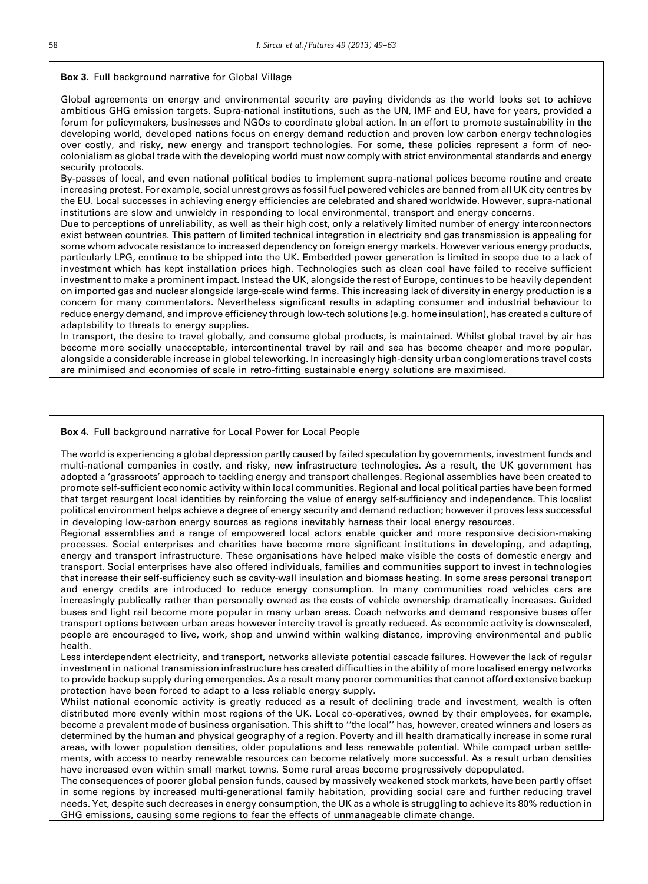## <span id="page-9-0"></span>Box 3. Full background narrative for Global Village

Global agreements on energy and environmental security are paying dividends as the world looks set to achieve ambitious GHG emission targets. Supra-national institutions, such as the UN, IMF and EU, have for years, provided a forum for policymakers, businesses and NGOs to coordinate global action. In an effort to promote sustainability in the developing world, developed nations focus on energy demand reduction and proven low carbon energy technologies over costly, and risky, new energy and transport technologies. For some, these policies represent a form of neocolonialism as global trade with the developing world must now comply with strict environmental standards and energy security protocols.

By-passes of local, and even national political bodies to implement supra-national polices become routine and create increasing protest. For example, social unrest grows as fossil fuel powered vehicles are banned from all UK city centres by the EU. Local successes in achieving energy efficiencies are celebrated and shared worldwide. However, supra-national institutions are slow and unwieldy in responding to local environmental, transport and energy concerns.

Due to perceptions of unreliability, as well as their high cost, only a relatively limited number of energy interconnectors exist between countries. This pattern of limited technical integration in electricity and gas transmission is appealing for some whom advocate resistance to increased dependency on foreign energy markets. However various energy products, particularly LPG, continue to be shipped into the UK. Embedded power generation is limited in scope due to a lack of investment which has kept installation prices high. Technologies such as clean coal have failed to receive sufficient investment to make a prominent impact. Instead the UK, alongside the rest of Europe, continues to be heavily dependent on imported gas and nuclear alongside large-scale wind farms. This increasing lack of diversity in energy production is a concern for many commentators. Nevertheless significant results in adapting consumer and industrial behaviour to reduce energy demand, and improve efficiency through low-tech solutions (e.g. home insulation), has created a culture of adaptability to threats to energy supplies.

In transport, the desire to travel globally, and consume global products, is maintained. Whilst global travel by air has become more socially unacceptable, intercontinental travel by rail and sea has become cheaper and more popular, alongside a considerable increase in global teleworking. In increasingly high-density urban conglomerations travel costs are minimised and economies of scale in retro-fitting sustainable energy solutions are maximised.

#### Box 4. Full background narrative for Local Power for Local People

The world is experiencing a global depression partly caused by failed speculation by governments, investment funds and multi-national companies in costly, and risky, new infrastructure technologies. As a result, the UK government has adopted a 'grassroots' approach to tackling energy and transport challenges. Regional assemblies have been created to promote self-sufficient economic activity within local communities. Regional and local political parties have been formed that target resurgent local identities by reinforcing the value of energy self-sufficiency and independence. This localist political environment helps achieve a degree of energy security and demand reduction; however it proves less successful in developing low-carbon energy sources as regions inevitably harness their local energy resources.

Regional assemblies and a range of empowered local actors enable quicker and more responsive decision-making processes. Social enterprises and charities have become more significant institutions in developing, and adapting, energy and transport infrastructure. These organisations have helped make visible the costs of domestic energy and transport. Social enterprises have also offered individuals, families and communities support to invest in technologies that increase their self-sufficiency such as cavity-wall insulation and biomass heating. In some areas personal transport and energy credits are introduced to reduce energy consumption. In many communities road vehicles cars are increasingly publically rather than personally owned as the costs of vehicle ownership dramatically increases. Guided buses and light rail become more popular in many urban areas. Coach networks and demand responsive buses offer transport options between urban areas however intercity travel is greatly reduced. As economic activity is downscaled, people are encouraged to live, work, shop and unwind within walking distance, improving environmental and public health.

Less interdependent electricity, and transport, networks alleviate potential cascade failures. However the lack of regular investment in national transmission infrastructure has created difficulties in the ability of more localised energy networks to provide backup supply during emergencies. As a result many poorer communities that cannot afford extensive backup protection have been forced to adapt to a less reliable energy supply.

Whilst national economic activity is greatly reduced as a result of declining trade and investment, wealth is often distributed more evenly within most regions of the UK. Local co-operatives, owned by their employees, for example, become a prevalent mode of business organisation. This shift to ''the local'' has, however, created winners and losers as determined by the human and physical geography of a region. Poverty and ill health dramatically increase in some rural areas, with lower population densities, older populations and less renewable potential. While compact urban settlements, with access to nearby renewable resources can become relatively more successful. As a result urban densities have increased even within small market towns. Some rural areas become progressively depopulated.

The consequences of poorer global pension funds, caused by massively weakened stock markets, have been partly offset in some regions by increased multi-generational family habitation, providing social care and further reducing travel needs. Yet, despite such decreases in energy consumption, the UK as a whole is struggling to achieve its 80% reduction in GHG emissions, causing some regions to fear the effects of unmanageable climate change.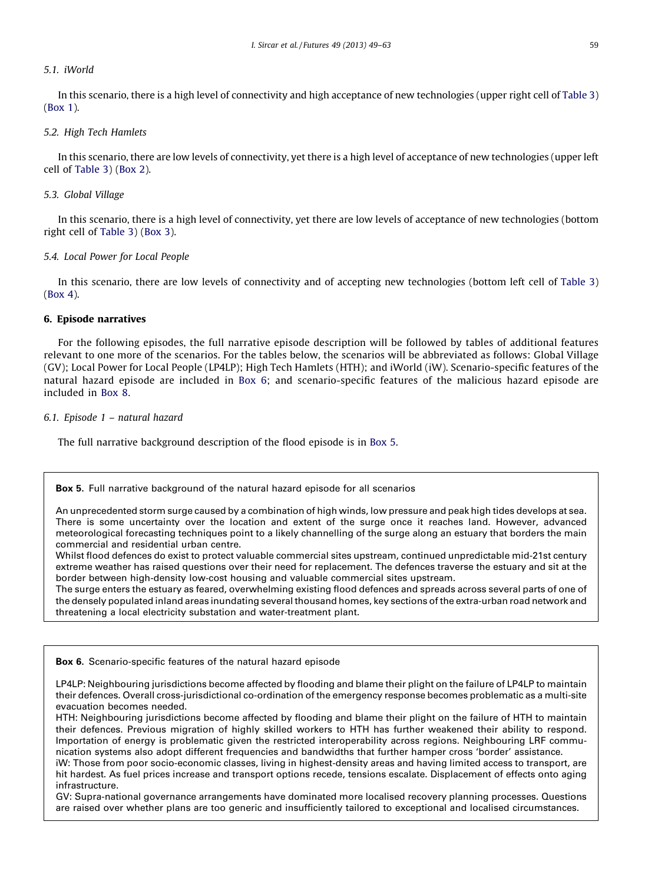# 5.1. iWorld

In this scenario, there is a high level of connectivity and high acceptance of new technologies (upper right cell of [Table](#page-6-0) 3) ([Box](#page-7-0) 1).

## 5.2. High Tech Hamlets

In this scenario, there are low levels of connectivity, yet there is a high level of acceptance of new technologies (upper left cell of [Table](#page-6-0) 3) [\(Box](#page-8-0) 2).

## 5.3. Global Village

In this scenario, there is a high level of connectivity, yet there are low levels of acceptance of new technologies (bottom right cell of [Table](#page-6-0) 3) [\(Box](#page-9-0) 3).

## 5.4. Local Power for Local People

In this scenario, there are low levels of connectivity and of accepting new technologies (bottom left cell of [Table](#page-6-0) 3) ([Box](#page-9-0) 4).

# 6. Episode narratives

For the following episodes, the full narrative episode description will be followed by tables of additional features relevant to one more of the scenarios. For the tables below, the scenarios will be abbreviated as follows: Global Village (GV); Local Power for Local People (LP4LP); High Tech Hamlets (HTH); and iWorld (iW). Scenario-specific features of the natural hazard episode are included in Box 6; and scenario-specific features of the malicious hazard episode are included in [Box](#page-11-0) 8.

## 6.1. Episode 1 – natural hazard

The full narrative background description of the flood episode is in Box 5.

Box 5. Full narrative background of the natural hazard episode for all scenarios

An unprecedented storm surge caused by a combination of high winds, low pressure and peak high tides develops at sea. There is some uncertainty over the location and extent of the surge once it reaches land. However, advanced meteorological forecasting techniques point to a likely channelling of the surge along an estuary that borders the main commercial and residential urban centre.

Whilst flood defences do exist to protect valuable commercial sites upstream, continued unpredictable mid-21st century extreme weather has raised questions over their need for replacement. The defences traverse the estuary and sit at the border between high-density low-cost housing and valuable commercial sites upstream.

The surge enters the estuary as feared, overwhelming existing flood defences and spreads across several parts of one of the densely populated inland areas inundating several thousand homes, key sections of the extra-urban road network and threatening a local electricity substation and water-treatment plant.

Box 6. Scenario-specific features of the natural hazard episode

LP4LP: Neighbouring jurisdictions become affected by flooding and blame their plight on the failure of LP4LP to maintain their defences. Overall cross-jurisdictional co-ordination of the emergency response becomes problematic as a multi-site evacuation becomes needed.

HTH: Neighbouring jurisdictions become affected by flooding and blame their plight on the failure of HTH to maintain their defences. Previous migration of highly skilled workers to HTH has further weakened their ability to respond. Importation of energy is problematic given the restricted interoperability across regions. Neighbouring LRF communication systems also adopt different frequencies and bandwidths that further hamper cross 'border' assistance.

iW: Those from poor socio-economic classes, living in highest-density areas and having limited access to transport, are hit hardest. As fuel prices increase and transport options recede, tensions escalate. Displacement of effects onto aging infrastructure.

GV: Supra-national governance arrangements have dominated more localised recovery planning processes. Questions are raised over whether plans are too generic and insufficiently tailored to exceptional and localised circumstances.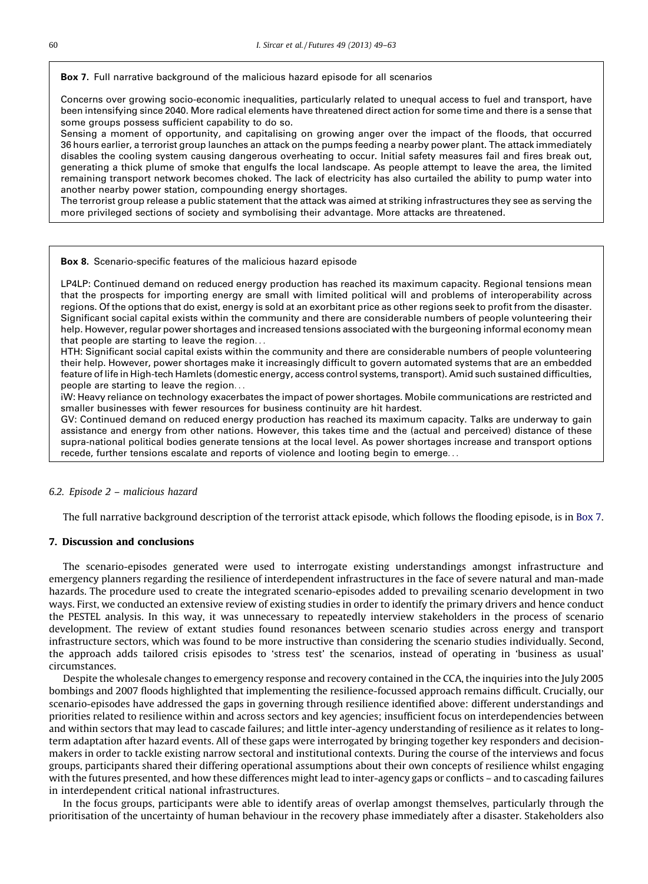<span id="page-11-0"></span>**Box 7.** Full narrative background of the malicious hazard episode for all scenarios

Concerns over growing socio-economic inequalities, particularly related to unequal access to fuel and transport, have been intensifying since 2040. More radical elements have threatened direct action for some time and there is a sense that some groups possess sufficient capability to do so.

Sensing a moment of opportunity, and capitalising on growing anger over the impact of the floods, that occurred 36 hours earlier, a terrorist group launches an attack on the pumps feeding a nearby power plant. The attack immediately disables the cooling system causing dangerous overheating to occur. Initial safety measures fail and fires break out, generating a thick plume of smoke that engulfs the local landscape. As people attempt to leave the area, the limited remaining transport network becomes choked. The lack of electricity has also curtailed the ability to pump water into another nearby power station, compounding energy shortages.

The terrorist group release a public statement that the attack was aimed at striking infrastructures they see as serving the more privileged sections of society and symbolising their advantage. More attacks are threatened.

#### Box 8. Scenario-specific features of the malicious hazard episode

LP4LP: Continued demand on reduced energy production has reached its maximum capacity. Regional tensions mean that the prospects for importing energy are small with limited political will and problems of interoperability across regions. Of the options that do exist, energy is sold at an exorbitant price as other regions seek to profit from the disaster. Significant social capital exists within the community and there are considerable numbers of people volunteering their help. However, regular power shortages and increased tensions associated with the burgeoning informal economy mean that people are starting to leave the region. . .

HTH: Significant social capital exists within the community and there are considerable numbers of people volunteering their help. However, power shortages make it increasingly difficult to govern automated systems that are an embedded feature of life in High-tech Hamlets (domestic energy, access control systems, transport). Amid such sustained difficulties, people are starting to leave the region. . .

iW: Heavy reliance on technology exacerbates the impact of power shortages. Mobile communications are restricted and smaller businesses with fewer resources for business continuity are hit hardest.

GV: Continued demand on reduced energy production has reached its maximum capacity. Talks are underway to gain assistance and energy from other nations. However, this takes time and the (actual and perceived) distance of these supra-national political bodies generate tensions at the local level. As power shortages increase and transport options recede, further tensions escalate and reports of violence and looting begin to emerge. . .

#### 6.2. Episode 2 – malicious hazard

The full narrative background description of the terrorist attack episode, which follows the flooding episode, is in Box 7.

#### 7. Discussion and conclusions

The scenario-episodes generated were used to interrogate existing understandings amongst infrastructure and emergency planners regarding the resilience of interdependent infrastructures in the face of severe natural and man-made hazards. The procedure used to create the integrated scenario-episodes added to prevailing scenario development in two ways. First, we conducted an extensive review of existing studies in order to identify the primary drivers and hence conduct the PESTEL analysis. In this way, it was unnecessary to repeatedly interview stakeholders in the process of scenario development. The review of extant studies found resonances between scenario studies across energy and transport infrastructure sectors, which was found to be more instructive than considering the scenario studies individually. Second, the approach adds tailored crisis episodes to 'stress test' the scenarios, instead of operating in 'business as usual' circumstances.

Despite the wholesale changes to emergency response and recovery contained in the CCA, the inquiries into the July 2005 bombings and 2007 floods highlighted that implementing the resilience-focussed approach remains difficult. Crucially, our scenario-episodes have addressed the gaps in governing through resilience identified above: different understandings and priorities related to resilience within and across sectors and key agencies; insufficient focus on interdependencies between and within sectors that may lead to cascade failures; and little inter-agency understanding of resilience as it relates to longterm adaptation after hazard events. All of these gaps were interrogated by bringing together key responders and decisionmakers in order to tackle existing narrow sectoral and institutional contexts. During the course of the interviews and focus groups, participants shared their differing operational assumptions about their own concepts of resilience whilst engaging with the futures presented, and how these differences might lead to inter-agency gaps or conflicts – and to cascading failures in interdependent critical national infrastructures.

In the focus groups, participants were able to identify areas of overlap amongst themselves, particularly through the prioritisation of the uncertainty of human behaviour in the recovery phase immediately after a disaster. Stakeholders also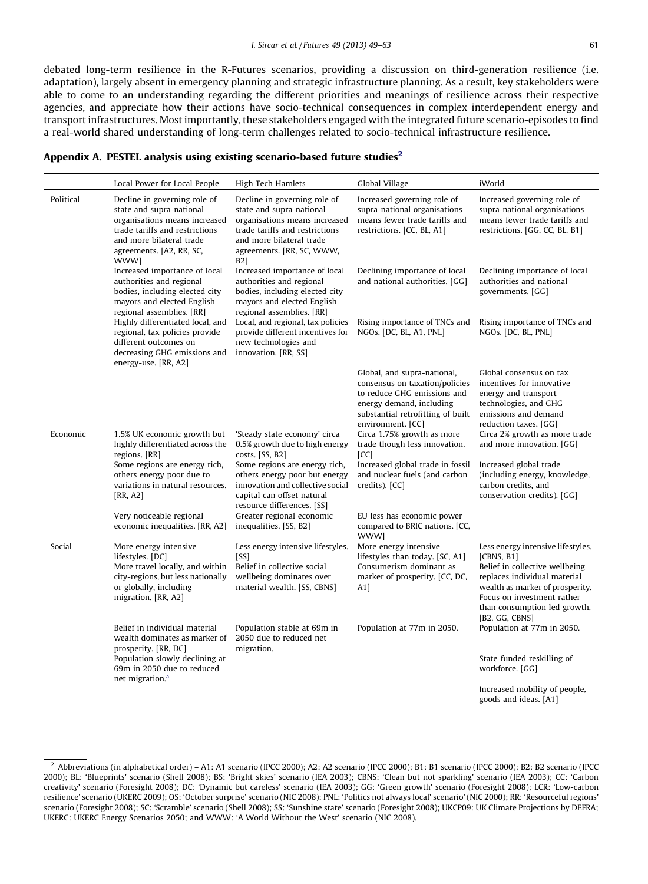debated long-term resilience in the R-Futures scenarios, providing a discussion on third-generation resilience (i.e. adaptation), largely absent in emergency planning and strategic infrastructure planning. As a result, key stakeholders were able to come to an understanding regarding the different priorities and meanings of resilience across their respective agencies, and appreciate how their actions have socio-technical consequences in complex interdependent energy and transport infrastructures. Most importantly, these stakeholders engaged with the integrated future scenario-episodes to find a real-world shared understanding of long-term challenges related to socio-technical infrastructure resilience.

| Appendix A. PESTEL analysis using existing scenario-based future studies <sup>2</sup> |  |  |  |  |  |  |  |  |
|---------------------------------------------------------------------------------------|--|--|--|--|--|--|--|--|
|---------------------------------------------------------------------------------------|--|--|--|--|--|--|--|--|

|           | Local Power for Local People                                                                                                                                                                | High Tech Hamlets                                                                                                                                                                          | Global Village                                                                                                                                                                     | iWorld                                                                                                                                                                                                                               |
|-----------|---------------------------------------------------------------------------------------------------------------------------------------------------------------------------------------------|--------------------------------------------------------------------------------------------------------------------------------------------------------------------------------------------|------------------------------------------------------------------------------------------------------------------------------------------------------------------------------------|--------------------------------------------------------------------------------------------------------------------------------------------------------------------------------------------------------------------------------------|
| Political | Decline in governing role of<br>state and supra-national<br>organisations means increased<br>trade tariffs and restrictions<br>and more bilateral trade<br>agreements. [A2, RR, SC,<br>WWW] | Decline in governing role of<br>state and supra-national<br>organisations means increased<br>trade tariffs and restrictions<br>and more bilateral trade<br>agreements. [RR, SC, WWW,<br>B2 | Increased governing role of<br>supra-national organisations<br>means fewer trade tariffs and<br>restrictions. [CC, BL, A1]                                                         | Increased governing role of<br>supra-national organisations<br>means fewer trade tariffs and<br>restrictions. [GG, CC, BL, B1]                                                                                                       |
|           | Increased importance of local<br>authorities and regional<br>bodies, including elected city<br>mayors and elected English                                                                   | Increased importance of local<br>authorities and regional<br>bodies, including elected city<br>mayors and elected English                                                                  | Declining importance of local<br>and national authorities. [GG]                                                                                                                    | Declining importance of local<br>authorities and national<br>governments. [GG]                                                                                                                                                       |
|           | regional assemblies. [RR]<br>Highly differentiated local, and<br>regional, tax policies provide<br>different outcomes on<br>decreasing GHG emissions and<br>energy-use. [RR, A2]            | regional assemblies. [RR]<br>Local, and regional, tax policies<br>provide different incentives for<br>new technologies and<br>innovation. [RR, SS]                                         | Rising importance of TNCs and<br>NGOs. [DC, BL, A1, PNL]                                                                                                                           | Rising importance of TNCs and<br>NGOs. [DC, BL, PNL]                                                                                                                                                                                 |
|           |                                                                                                                                                                                             |                                                                                                                                                                                            | Global, and supra-national,<br>consensus on taxation/policies<br>to reduce GHG emissions and<br>energy demand, including<br>substantial retrofitting of built<br>environment. [CC] | Global consensus on tax<br>incentives for innovative<br>energy and transport<br>technologies, and GHG<br>emissions and demand<br>reduction taxes. [GG]                                                                               |
| Economic  | 1.5% UK economic growth but<br>highly differentiated across the<br>regions. [RR]                                                                                                            | 'Steady state economy' circa<br>0.5% growth due to high energy<br>costs. [SS, B2]                                                                                                          | Circa 1.75% growth as more<br>trade though less innovation.<br>[CC]                                                                                                                | Circa 2% growth as more trade<br>and more innovation. [GG]                                                                                                                                                                           |
|           | Some regions are energy rich,<br>others energy poor due to<br>variations in natural resources.<br>[RR, A2]                                                                                  | Some regions are energy rich,<br>others energy poor but energy<br>innovation and collective social<br>capital can offset natural<br>resource differences. [SS]                             | Increased global trade in fossil<br>and nuclear fuels (and carbon<br>credits). [CC]                                                                                                | Increased global trade<br>(including energy, knowledge,<br>carbon credits, and<br>conservation credits). [GG]                                                                                                                        |
|           | Very noticeable regional<br>economic inequalities. [RR, A2]                                                                                                                                 | Greater regional economic<br>inequalities. [SS, B2]                                                                                                                                        | EU less has economic power<br>compared to BRIC nations. [CC,<br>WWW]                                                                                                               |                                                                                                                                                                                                                                      |
| Social    | More energy intensive<br>lifestyles. [DC]<br>More travel locally, and within<br>city-regions, but less nationally<br>or globally, including<br>migration. [RR, A2]                          | Less energy intensive lifestyles.<br>[SS]<br>Belief in collective social<br>wellbeing dominates over<br>material wealth. [SS, CBNS]                                                        | More energy intensive<br>lifestyles than today. [SC, A1]<br>Consumerism dominant as<br>marker of prosperity. [CC, DC,<br>A1                                                        | Less energy intensive lifestyles.<br>[CBNS, B1]<br>Belief in collective wellbeing<br>replaces individual material<br>wealth as marker of prosperity.<br>Focus on investment rather<br>than consumption led growth.<br>[B2, GG, CBNS] |
|           | Belief in individual material<br>wealth dominates as marker of<br>prosperity. [RR, DC]<br>Population slowly declining at<br>69m in 2050 due to reduced<br>net migration. <sup>a</sup>       | Population stable at 69m in<br>2050 due to reduced net<br>migration.                                                                                                                       | Population at 77m in 2050.                                                                                                                                                         | Population at 77m in 2050.                                                                                                                                                                                                           |
|           |                                                                                                                                                                                             |                                                                                                                                                                                            |                                                                                                                                                                                    | State-funded reskilling of<br>workforce. [GG]                                                                                                                                                                                        |
|           |                                                                                                                                                                                             |                                                                                                                                                                                            |                                                                                                                                                                                    | Increased mobility of people,                                                                                                                                                                                                        |

goods and ideas. [A1]

<sup>&</sup>lt;sup>2</sup> Abbreviations (in alphabetical order) – A1: A1 scenario (IPCC 2000); A2: A2 scenario (IPCC 2000); B1: B1 scenario (IPCC 2000); B2: B2 scenario (IPCC 2000); BL: 'Blueprints' scenario (Shell 2008); BS: 'Bright skies' scenario (IEA 2003); CBNS: 'Clean but not sparkling' scenario (IEA 2003); CC: 'Carbon creativity' scenario (Foresight 2008); DC: 'Dynamic but careless' scenario (IEA 2003); GG: 'Green growth' scenario (Foresight 2008); LCR: 'Low-carbon resilience' scenario (UKERC 2009); OS: 'October surprise' scenario (NIC 2008); PNL: 'Politics not always local' scenario' (NIC 2000); RR: 'Resourceful regions' scenario (Foresight 2008); SC: 'Scramble' scenario (Shell 2008); SS: 'Sunshine state' scenario (Foresight 2008); UKCP09: UK Climate Projections by DEFRA; UKERC: UKERC Energy Scenarios 2050; and WWW: 'A World Without the West' scenario (NIC 2008).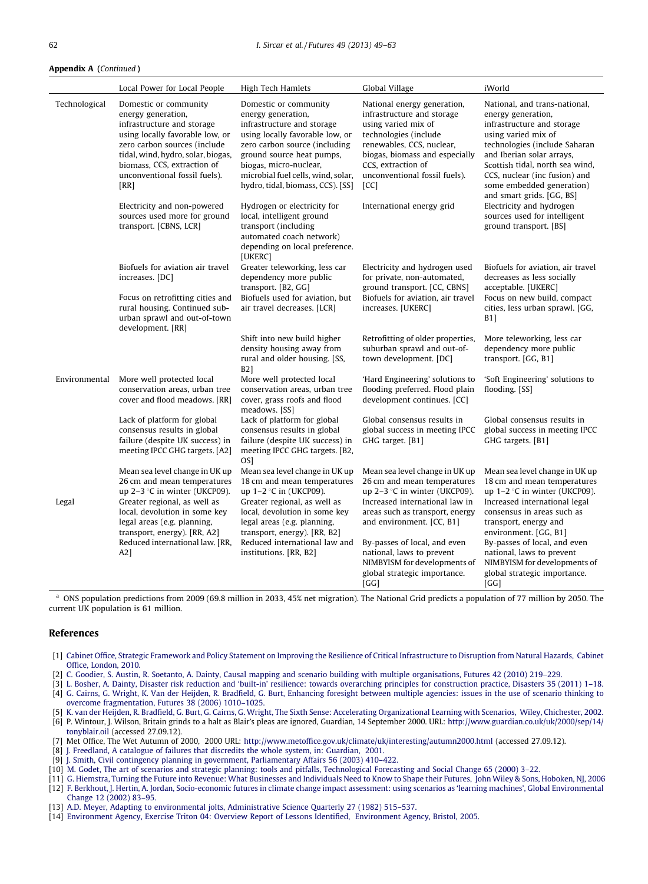#### <span id="page-13-0"></span>Appendix A (Continued )

|               | Local Power for Local People                                                                                                                                                                                                                               | High Tech Hamlets                                                                                                                                                                                                                                                               | Global Village                                                                                                                                                                                                                          | iWorld                                                                                                                                                                                                                                                                                               |  |
|---------------|------------------------------------------------------------------------------------------------------------------------------------------------------------------------------------------------------------------------------------------------------------|---------------------------------------------------------------------------------------------------------------------------------------------------------------------------------------------------------------------------------------------------------------------------------|-----------------------------------------------------------------------------------------------------------------------------------------------------------------------------------------------------------------------------------------|------------------------------------------------------------------------------------------------------------------------------------------------------------------------------------------------------------------------------------------------------------------------------------------------------|--|
| Technological | Domestic or community<br>energy generation,<br>infrastructure and storage<br>using locally favorable low, or<br>zero carbon sources (include<br>tidal, wind, hydro, solar, biogas,<br>biomass, CCS, extraction of<br>unconventional fossil fuels).<br>[RR] | Domestic or community<br>energy generation,<br>infrastructure and storage<br>using locally favorable low, or<br>zero carbon source (including<br>ground source heat pumps,<br>biogas, micro-nuclear,<br>microbial fuel cells, wind, solar,<br>hydro, tidal, biomass, CCS). [SS] | National energy generation,<br>infrastructure and storage<br>using varied mix of<br>technologies (include<br>renewables, CCS, nuclear,<br>biogas, biomass and especially<br>CCS, extraction of<br>unconventional fossil fuels).<br>[CC] | National, and trans-national,<br>energy generation,<br>infrastructure and storage<br>using varied mix of<br>technologies (include Saharan<br>and Iberian solar arrays,<br>Scottish tidal, north sea wind,<br>CCS, nuclear (inc fusion) and<br>some embedded generation)<br>and smart grids. [GG, BS] |  |
|               | Electricity and non-powered<br>sources used more for ground<br>transport. [CBNS, LCR]                                                                                                                                                                      | Hydrogen or electricity for<br>local, intelligent ground<br>transport (including<br>automated coach network)<br>depending on local preference.<br>[UKERC]                                                                                                                       | International energy grid                                                                                                                                                                                                               | Electricity and hydrogen<br>sources used for intelligent<br>ground transport. [BS]                                                                                                                                                                                                                   |  |
|               | Biofuels for aviation air travel<br>increases. [DC]                                                                                                                                                                                                        | Greater teleworking, less car<br>dependency more public<br>transport. [B2, GG]                                                                                                                                                                                                  | Electricity and hydrogen used<br>for private, non-automated,<br>ground transport. [CC, CBNS]                                                                                                                                            | Biofuels for aviation, air travel<br>decreases as less socially<br>acceptable. [UKERC]                                                                                                                                                                                                               |  |
|               | Focus on retrofitting cities and<br>rural housing. Continued sub-<br>urban sprawl and out-of-town<br>development. [RR]                                                                                                                                     | Biofuels used for aviation, but<br>air travel decreases. [LCR]                                                                                                                                                                                                                  | Biofuels for aviation, air travel<br>increases. [UKERC]                                                                                                                                                                                 | Focus on new build, compact<br>cities, less urban sprawl. [GG,<br>B1 ]                                                                                                                                                                                                                               |  |
|               |                                                                                                                                                                                                                                                            | Shift into new build higher<br>density housing away from<br>rural and older housing. [SS,<br>B2                                                                                                                                                                                 | Retrofitting of older properties,<br>suburban sprawl and out-of-<br>town development. [DC]                                                                                                                                              | More teleworking, less car<br>dependency more public<br>transport. [GG, B1]                                                                                                                                                                                                                          |  |
| Environmental | More well protected local<br>conservation areas, urban tree<br>cover and flood meadows. [RR]                                                                                                                                                               | More well protected local<br>conservation areas, urban tree<br>cover, grass roofs and flood<br>meadows. [SS]                                                                                                                                                                    | 'Hard Engineering' solutions to<br>flooding preferred. Flood plain<br>development continues. [CC]                                                                                                                                       | 'Soft Engineering' solutions to<br>flooding. [SS]                                                                                                                                                                                                                                                    |  |
|               | Lack of platform for global<br>consensus results in global<br>failure (despite UK success) in<br>meeting IPCC GHG targets. [A2]                                                                                                                            | Lack of platform for global<br>consensus results in global<br>failure (despite UK success) in<br>meeting IPCC GHG targets. [B2,<br>OS <sub>1</sub>                                                                                                                              | Global consensus results in<br>global success in meeting IPCC<br>GHG target. [B1]                                                                                                                                                       | Global consensus results in<br>global success in meeting IPCC<br>GHG targets. [B1]                                                                                                                                                                                                                   |  |
| Legal         | Mean sea level change in UK up<br>26 cm and mean temperatures<br>up 2–3 °C in winter (UKCP09).<br>Greater regional, as well as<br>local, devolution in some key<br>legal areas (e.g. planning,<br>transport, energy). [RR, A2]                             | Mean sea level change in UK up<br>18 cm and mean temperatures<br>up $1-2$ °C in (UKCP09).<br>Greater regional, as well as<br>local, devolution in some key<br>legal areas (e.g. planning,<br>transport, energy). [RR, B2]                                                       | Mean sea level change in UK up<br>26 cm and mean temperatures<br>up $2-3$ °C in winter (UKCP09).<br>Increased international law in<br>areas such as transport, energy<br>and environment. $[CC, B1]$                                    | Mean sea level change in UK up<br>18 cm and mean temperatures<br>up $1-2$ °C in winter (UKCP09).<br>Increased international legal<br>consensus in areas such as<br>transport, energy and<br>environment. [GG, B1]                                                                                    |  |
|               | Reduced international law. [RR,<br>$A2$ ]                                                                                                                                                                                                                  | Reduced international law and<br>institutions. [RR, B2]                                                                                                                                                                                                                         | By-passes of local, and even<br>national, laws to prevent<br>NIMBYISM for developments of<br>global strategic importance.<br>[GG]                                                                                                       | By-passes of local, and even<br>national, laws to prevent<br>NIMBYISM for developments of<br>global strategic importance.<br>[GG]                                                                                                                                                                    |  |

<sup>a</sup> ONS population predictions from 2009 (69.8 million in 2033, 45% net migration). The National Grid predicts a population of 77 million by 2050. The current UK population is 61 million.

### References

- [1] Cabinet Office, Strategic Framework and Policy Statement on Improving the Resilience of Critical [Infrastructure](http://refhub.elsevier.com/S0016-3287(13)00053-0/sbref0005) to Disruption from Natural Hazards, Cabinet Office, [London,](http://refhub.elsevier.com/S0016-3287(13)00053-0/sbref0005) 2010.
- [2] C. Goodier, S. Austin, R. Soetanto, A. Dainty, Causal mapping and scenario building with multiple [organisations,](http://refhub.elsevier.com/S0016-3287(13)00053-0/sbref0010) Futures 42 (2010) 219–229.
- [3] L. Bosher, A. Dainty, Disaster risk reduction and 'built-in' resilience: towards overarching principles for [construction](http://refhub.elsevier.com/S0016-3287(13)00053-0/sbref0015) practice, Disasters 35 (2011) 1–18. [4] G. Cairns, G. Wright, K. Van der Heijden, R. Bradfield, G. Burt, [Enhancing](http://refhub.elsevier.com/S0016-3287(13)00053-0/sbref0020) foresight between multiple agencies: issues in the use of scenario thinking to overcome [fragmentation,](http://refhub.elsevier.com/S0016-3287(13)00053-0/sbref0020) Futures 38 (2006) 1010–1025.
- [5] K. van der Heijden, R. Bradfield, G. Burt, G. Cairns, G. Wright, The Sixth Sense: Accelerating [Organizational](http://refhub.elsevier.com/S0016-3287(13)00053-0/sbref0025) Learning with Scenarios, Wiley, Chichester, 2002.
- [6] P. Wintour, J. Wilson, Britain grinds to a halt as Blair's pleas are ignored, Guardian, 14 September 2000. URL: [http://www.guardian.co.uk/uk/2000/sep/14/](http://www.guardian.co.uk/uk/2000/sep/14/tonyblair.oil) [tonyblair.oil](http://www.guardian.co.uk/uk/2000/sep/14/tonyblair.oil) (accessed 27.09.12).
- [7] Met Office, The Wet Autumn of 2000, 2000 URL: <http://www.metoffice.gov.uk/climate/uk/interesting/autumn2000.html> (accessed 27.09.12).
- [8] J. [Freedland,](http://refhub.elsevier.com/S0016-3287(13)00053-0/sbref0040) A catalogue of failures that discredits the whole system, in: Guardian, 2001.
- [9] J. Smith, Civil contingency planning in government, [Parliamentary](http://refhub.elsevier.com/S0016-3287(13)00053-0/sbref0045) Affairs 56 (2003) 410–422.
- [10] M. Godet, The art of scenarios and strategic planning: tools and pitfalls, [Technological](http://refhub.elsevier.com/S0016-3287(13)00053-0/sbref0050) Forecasting and Social Change 65 (2000) 3–22.
- [11] G. Hiemstra, Turning the Future into Revenue: What Businesses and [Individuals](http://refhub.elsevier.com/S0016-3287(13)00053-0/sbref0055) Need to Know to Shape their Futures, John Wiley & Sons, Hoboken, NJ, 2006.
- [12] F. Berkhout, J. Hertin, A. Jordan, [Socio-economic](http://refhub.elsevier.com/S0016-3287(13)00053-0/sbref0060) futures in climate change impact assessment: using scenarios as 'learning machines', Global Environmental [Change](http://refhub.elsevier.com/S0016-3287(13)00053-0/sbref0060) 12 (2002) 83–95.
- [13] A.D. Meyer, Adapting to environmental jolts, [Administrative](http://refhub.elsevier.com/S0016-3287(13)00053-0/sbref0065) Science Quarterly 27 (1982) 515–537.
- [14] [Environment](http://refhub.elsevier.com/S0016-3287(13)00053-0/sbref0070) Agency, Exercise Triton 04: Overview Report of Lessons Identified, Environment Agency, Bristol, 2005.